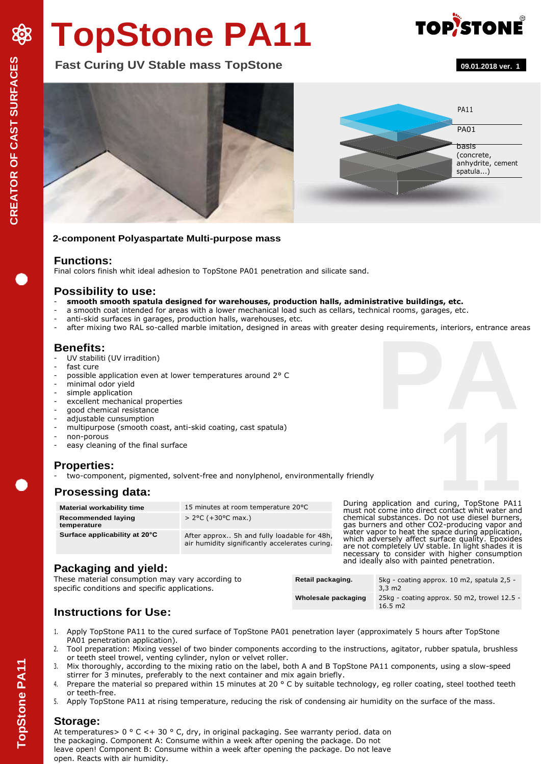# **TopStone PA11**

**TOP/STONE** 



#### **2-component Polyaspartate Multi-purpose mass**

#### **Functions:**

Final colors finish whit ideal adhesion to TopStone PA01 penetration and silicate sand.

#### **Possibility to use:**

- **smooth smooth spatula designed for warehouses, production halls, administrative buildings, etc.**
- a smooth coat intended for areas with a lower mechanical load such as cellars, technical rooms, garages, etc.
- anti-skid surfaces in garages, production halls, warehouses, etc.
- ng requirements, interiors, entrance are<br> **PA**<br> **PA** after mixing two RAL so-called marble imitation, designed in areas with greater desing requirements, interiors, entrance areas

#### **Benefits:**

- UV stabiliti (UV irradition)
- fast cure
- possible application even at lower temperatures around 2° C
- minimal odor yield
- simple application
- excellent mechanical properties
- good chemical resistance
- adjustable cunsumption
- multipurpose (smooth coast, anti-skid coating, cast spatula)
- non-porous
- easy cleaning of the final surface

#### **Properties:**

two-component, pigmented, solvent-free and nonylphenol, environmentally friendly

#### **Prosessing data:**

| <b>Material workability time</b>         | 15 minutes at room temperature 20°C                                                           | Dυ<br>mι        |
|------------------------------------------|-----------------------------------------------------------------------------------------------|-----------------|
| <b>Recommended laying</b><br>temperature | $> 2^{\circ}C$ (+30 $^{\circ}C$ max.)                                                         | ch<br>aa:       |
| Surface applicability at 20°C            | After approx 5h and fully loadable for 48h,<br>air humidity significantly accelerates curing. | wa<br>wh<br>are |

**1**<br>
During application and curing, TopStone PA11<br>
must not come into direct contact whit water and<br>
chemical substances. Do not use diesel burners, gas burners and other CO2-producing vapor and water vapor to heat the space during application, which adversely affect surface quality. Epoxides are not completely UV stable. In light shades it is necessary to consider with higher consumption and ideally also with painted penetration.

## **Packaging and yield:**

These material consumption may vary according to specific conditions and specific applications.

| Retail packaging.   | 5kg - coating approx. 10 m2, spatula 2,5 -<br>$3.3 \text{ m2}$   |
|---------------------|------------------------------------------------------------------|
| Wholesale packaging | 25kg - coating approx. 50 m2, trowel 12.5 -<br>$16.5 \text{ m2}$ |

## **Instructions for Use:**

- 1. Apply TopStone PA11 to the cured surface of TopStone PA01 penetration layer (approximately 5 hours after TopStone PA01 penetration application).
- 2. Tool preparation: Mixing vessel of two binder components according to the instructions, agitator, rubber spatula, brushless or teeth steel trowel, venting cylinder, nylon or velvet roller.
- 3. Mix thoroughly, according to the mixing ratio on the label, both A and B TopStone PA11 components, using a slow-speed stirrer for 3 minutes, preferably to the next container and mix again briefly.
- 4. Prepare the material so prepared within 15 minutes at 20 ° C by suitable technology, eg roller coating, steel toothed teeth or teeth-free.
- 5. Apply TopStone PA11 at rising temperature, reducing the risk of condensing air humidity on the surface of the mass.

#### **Storage:**

At temperatures > 0 ° C < + 30 ° C, dry, in original packaging. See warranty period. data on the packaging. Component A: Consume within a week after opening the package. Do not leave open! Component B: Consume within a week after opening the package. Do not leave open. Reacts with air humidity.